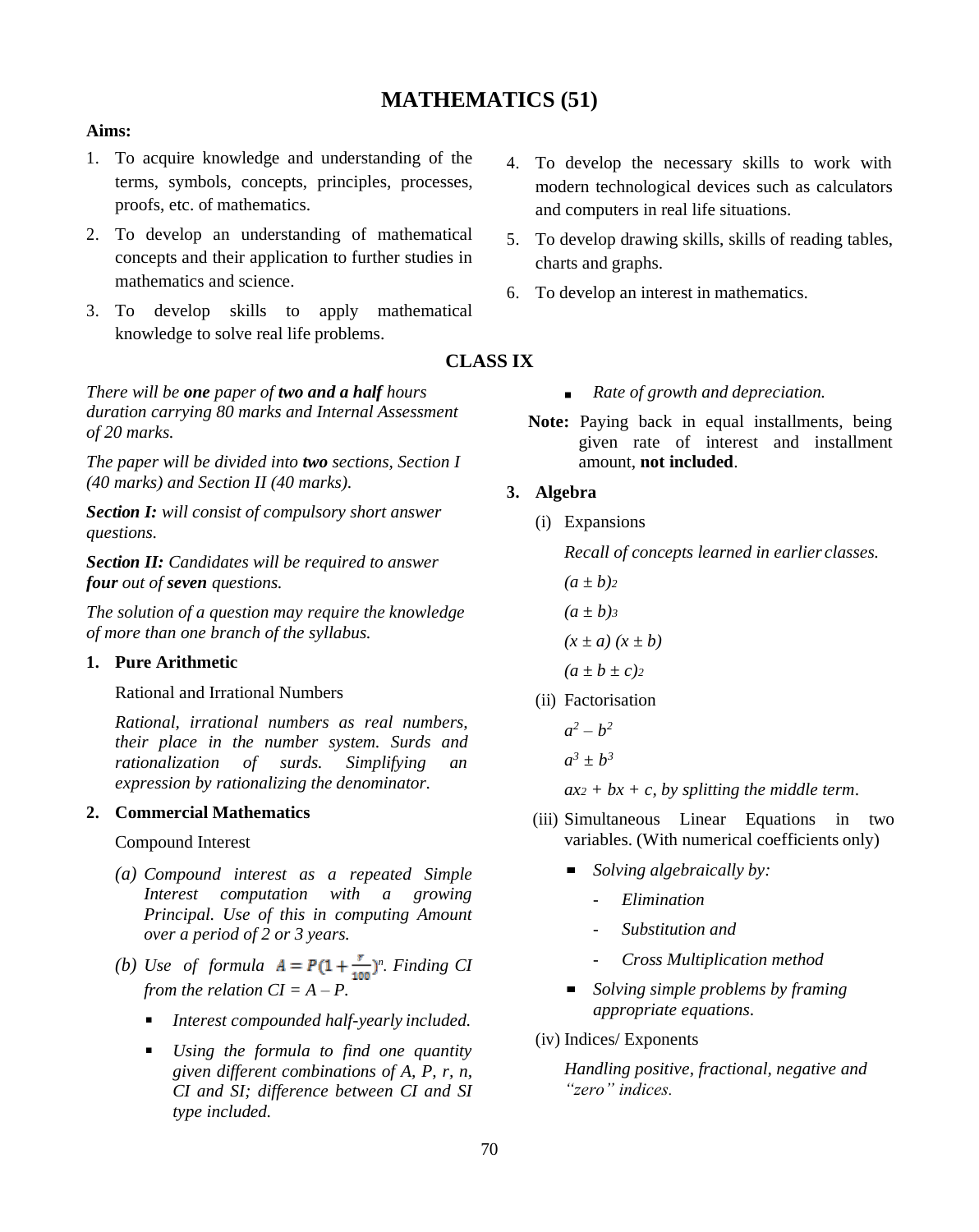# **MATHEMATICS (51)**

#### **Aims:**

- 1. To acquire knowledge and understanding of the terms, symbols, concepts, principles, processes, proofs, etc. of mathematics.
- 2. To develop an understanding of mathematical concepts and their application to further studies in mathematics and science.
- 3. To develop skills to apply mathematical knowledge to solve real life problems.

*There will be one paper of two and a half hours* **Rate** *Rate of growth and depreciation. duration carrying 80 marks and Internal Assessment of 20 marks.*

*The paper will be divided into two sections, Section I (40 marks) and Section II (40 marks).*

*Section I: will consist of compulsory short answer questions.*

*Section II: Candidates will be required to answer four out of seven questions.*

*The solution of a question may require the knowledge of more than one branch of the syllabus.*

#### **1. Pure Arithmetic**

Rational and Irrational Numbers

*Rational, irrational numbers as real numbers, their place in the number system. Surds and rationalization of surds. Simplifying an expression by rationalizing the denominator.*

#### **2. Commercial Mathematics**

#### Compound Interest

- *(a) Compound interest as a repeated Simple Interest computation with a growing Principal. Use of this in computing Amount over a period of 2 or 3 years.*
- *(b) Use of formula*  $A = P(1 + \frac{r}{\epsilon_0})^n$ *. Finding CI from the relation*  $CI = A - P$ *.* 
	- *Interest compounded half-yearly included.*
	- *Using the formula to find one quantity given different combinations of A, P, r, n, CI and SI; difference between CI and SI type included.*
- 4. To develop the necessary skills to work with modern technological devices such as calculators and computers in real life situations.
- 5. To develop drawing skills, skills of reading tables, charts and graphs.
- 6. To develop an interest in mathematics.

## **CLASS IX**

- 
- **Note:** Paying back in equal installments, being given rate of interest and installment amount, **not included**.

### **3. Algebra**

(i) Expansions

*Recall of concepts learned in earlier classes.* 

$$
(a \pm b)2
$$
  
\n
$$
(a \pm b)3
$$
  
\n
$$
(x \pm a) (x \pm b)
$$
  
\n
$$
(a \pm b \pm c)2
$$

- (ii) Factorisation
	- $a^2 b^2$

$$
a^3 \pm b^3
$$

 $ax_2 + bx + c$ , by splitting the middle term.

- (iii) Simultaneous Linear Equations in two variables. (With numerical coefficients only)
	- *Solving algebraically by:*
		- *Elimination*
		- *Substitution and*
		- *Cross Multiplication method*
	- *Solving simple problems by framing appropriate equations*.
- (iv) Indices/ Exponents

*Handling positive, fractional, negative and "zero" indices.*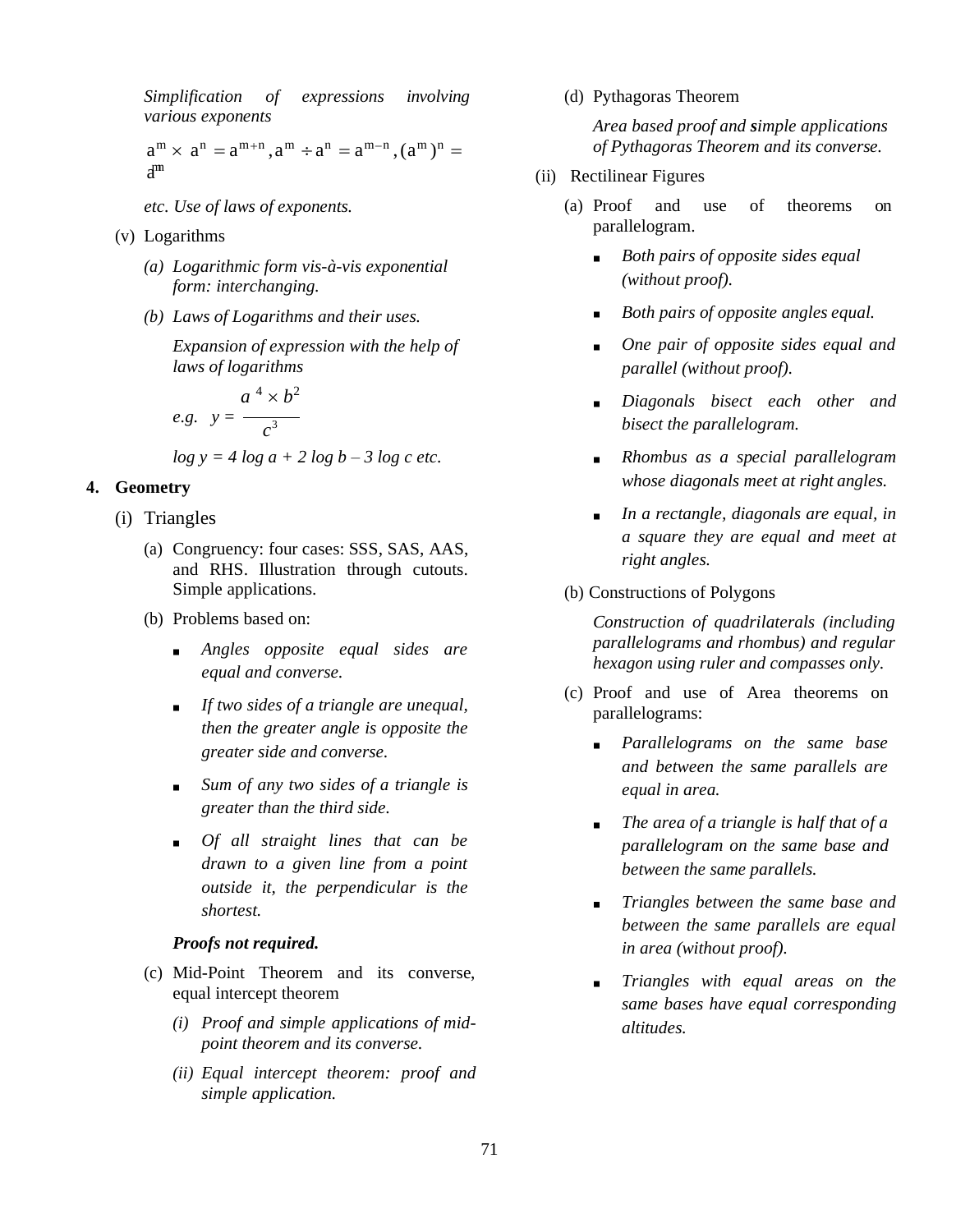*Simplification of expressions involving various exponents*

 $a^m \times a^n = a^{m+n}, a^m \div a^n = a^{m-n}, (a^m)^n =$ a mn

*etc. Use of laws of exponents.*

- (v) Logarithms
	- *(a) Logarithmic form vis-à-vis exponential form: interchanging.*
	- *(b) Laws of Logarithms and their uses.*

*Expansion of expression with the help of laws of logarithms*

$$
e.g. \quad y = \frac{a^4 \times b^2}{c^3}
$$

*log*  $y = 4 \log a + 2 \log b - 3 \log c$  *etc.* 

## **4. Geometry**

- (i) Triangles
	- (a) Congruency: four cases: SSS, SAS, AAS, and RHS. Illustration through cutouts. Simple applications.
	- (b) Problems based on:
		- *Angles opposite equal sides are equal and converse.*
		- *If two sides of a triangle are unequal, then the greater angle is opposite the greater side and converse.*
		- *Sum of any two sides of a triangle is greater than the third side.*
		- *Of all straight lines that can be drawn to a given line from a point outside it, the perpendicular is the shortest.*

#### *Proofs not required.*

- (c) Mid-Point Theorem and its converse, equal intercept theorem
	- *(i) Proof and simple applications of midpoint theorem and its converse.*
	- *(ii) Equal intercept theorem: proof and simple application.*

(d) Pythagoras Theorem

*Area based proof and simple applications of Pythagoras Theorem and its converse.*

- (ii) Rectilinear Figures
	- (a) Proof and use of theorems on parallelogram.
		- $\mathbf{u}$  . *Both pairs of opposite sides equal (without proof).*
		- *Both pairs of opposite angles equal.*
		- *One pair of opposite sides equal and parallel (without proof).*
		- *Diagonals bisect each other and bisect the parallelogram.*
		- $\mathbf{r}$ *Rhombus as a special parallelogram whose diagonals meet at right angles.*
		- *In a rectangle, diagonals are equal, in*   $\mathbf{r}$ *a square they are equal and meet at right angles.*
	- (b) Constructions of Polygons

*Construction of quadrilaterals (including parallelograms and rhombus) and regular hexagon using ruler and compasses only.*

- (c) Proof and use of Area theorems on parallelograms:
	- $\mathbf{r}$ *Parallelograms on the same base and between the same parallels are equal in area.*
	- *The area of a triangle is half that of a*   $\blacksquare$ *parallelogram on the same base and between the same parallels.*
	- $\blacksquare$ *Triangles between the same base and between the same parallels are equal in area (without proof).*
	- *Triangles with equal areas on the same bases have equal corresponding altitudes.*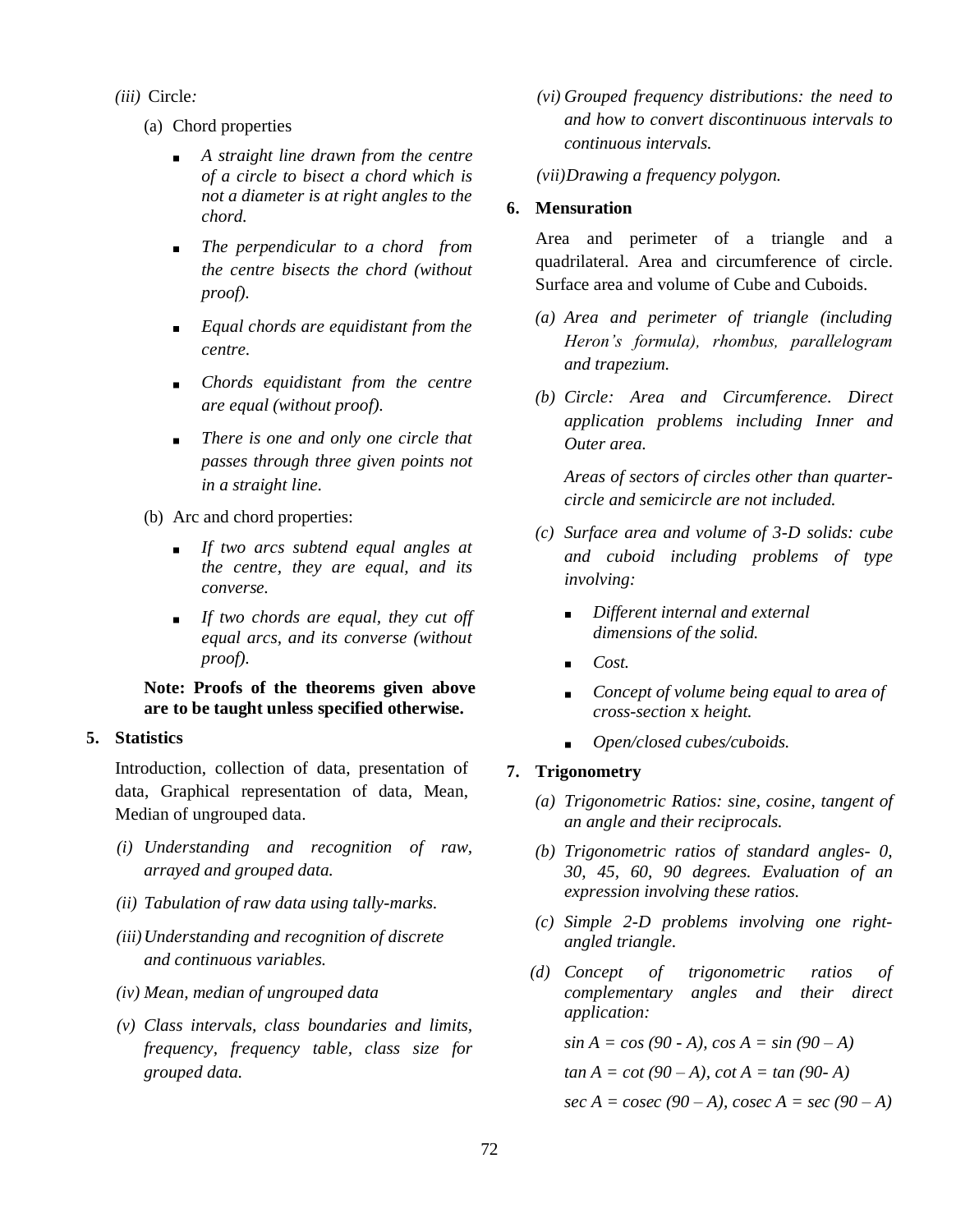*(iii)* Circle*:*

- (a) Chord properties
	- *A straight line drawn from the centre of a circle to bisect a chord which is not a diameter is at right angles to the chord.*
	- *The perpendicular to a chord from the centre bisects the chord (without proof).*
	- *Equal chords are equidistant from the centre.*
	- *Chords equidistant from the centre are equal (without proof).*
	- *There is one and only one circle that passes through three given points not in a straight line.*
- (b) Arc and chord properties:
	- *If two arcs subtend equal angles at the centre, they are equal, and its converse.*
	- *If two chords are equal, they cut off equal arcs, and its converse (without proof).*

## **Note: Proofs of the theorems given above are to be taught unless specified otherwise.**

## **5. Statistics**

Introduction, collection of data, presentation of data, Graphical representation of data, Mean, Median of ungrouped data.

- *(i) Understanding and recognition of raw, arrayed and grouped data.*
- *(ii) Tabulation of raw data using tally-marks.*
- *(iii)Understanding and recognition of discrete and continuous variables.*
- *(iv) Mean, median of ungrouped data*
- *(v) Class intervals, class boundaries and limits, frequency, frequency table, class size for grouped data.*

*(vi) Grouped frequency distributions: the need to and how to convert discontinuous intervals to continuous intervals.*

*(vii)Drawing a frequency polygon.*

## **6. Mensuration**

Area and perimeter of a triangle and a quadrilateral. Area and circumference of circle. Surface area and volume of Cube and Cuboids.

- *(a) Area and perimeter of triangle (including Heron's formula), rhombus, parallelogram and trapezium.*
- *(b) Circle: Area and Circumference. Direct application problems including Inner and Outer area.*

*Areas of sectors of circles other than quartercircle and semicircle are not included.*

- *(c) Surface area and volume of 3-D solids: cube and cuboid including problems of type involving:*
	- *Different internal and external dimensions of the solid.*
	- *Cost.*
	- *Concept of volume being equal to area of cross-section* x *height.*
	- *Open/closed cubes/cuboids.*

## **7. Trigonometry**

- *(a) Trigonometric Ratios: sine, cosine, tangent of an angle and their reciprocals.*
- *(b) Trigonometric ratios of standard angles- 0, 30, 45, 60, 90 degrees. Evaluation of an expression involving these ratios.*
- *(c) Simple 2-D problems involving one rightangled triangle.*
- *(d) Concept of trigonometric ratios of complementary angles and their direct application:*

 $sin A = cos (90 - A), cos A = sin (90 - A)$ 

*tan*  $A = \cot (90 - A)$ ,  $\cot A = \tan (90 - A)$ 

*sec A = cosec (90 – A), cosec A = sec (90 – A)*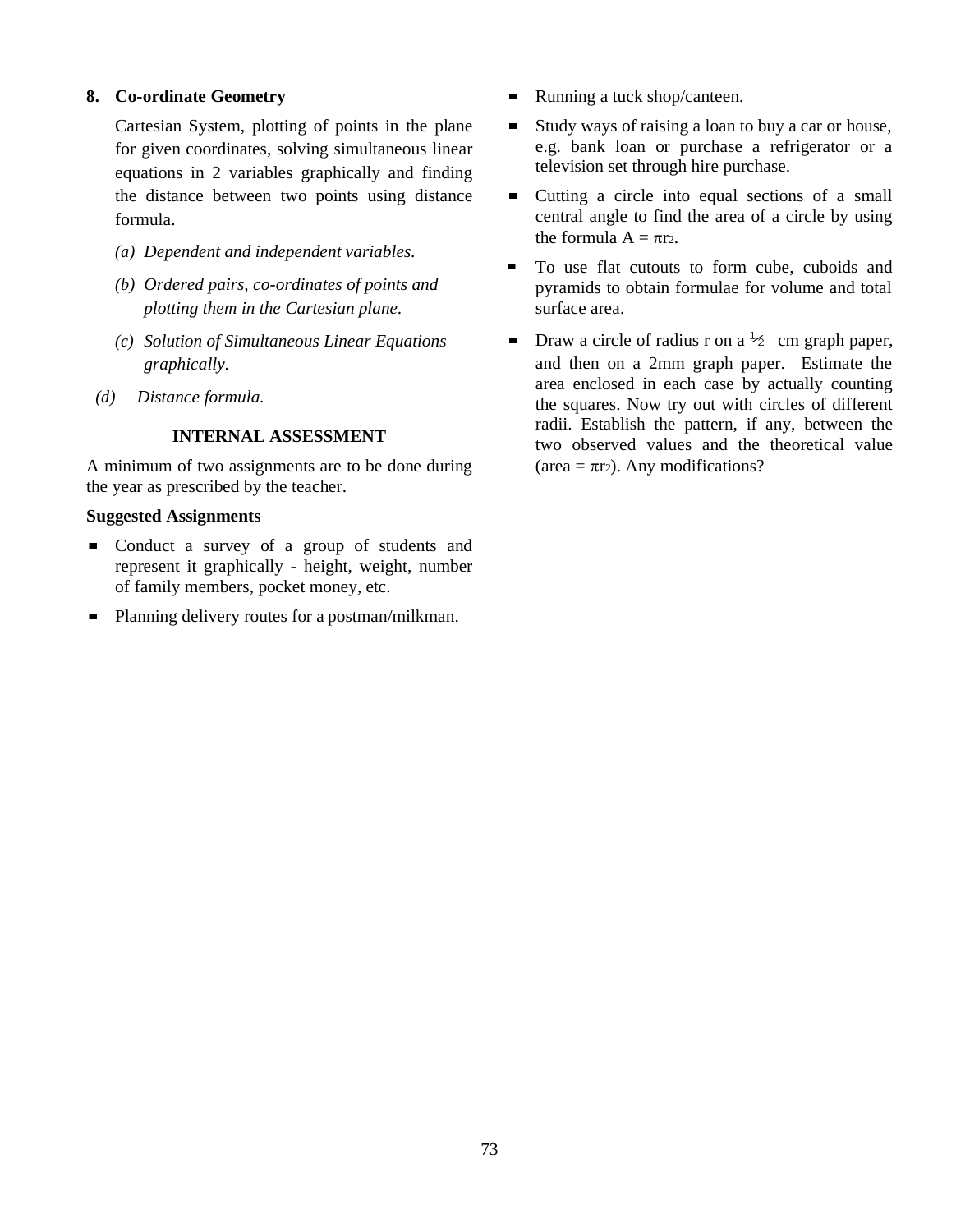## **8. Co-ordinate Geometry**

Cartesian System, plotting of points in the plane for given coordinates, solving simultaneous linear equations in 2 variables graphically and finding the distance between two points using distance formula.

- *(a) Dependent and independent variables.*
- *(b) Ordered pairs, co-ordinates of points and plotting them in the Cartesian plane.*
- *(c) Solution of Simultaneous Linear Equations graphically.*
- *(d) Distance formula.*

## **INTERNAL ASSESSMENT**

A minimum of two assignments are to be done during the year as prescribed by the teacher.

### **Suggested Assignments**

- Conduct a survey of a group of students and represent it graphically - height, weight, number of family members, pocket money, etc.
- Planning delivery routes for a postman/milkman.
- Running a tuck shop/canteen.
- Study ways of raising a loan to buy a car or house,  $\blacksquare$ e.g. bank loan or purchase a refrigerator or a television set through hire purchase.
- Cutting a circle into equal sections of a small central angle to find the area of a circle by using the formula  $A = \pi r_2$ .
- To use flat cutouts to form cube, cuboids and pyramids to obtain formulae for volume and total surface area.
- Draw a circle of radius r on a <sup>1</sup>  $\frac{1}{2}$  cm graph paper, and then on a 2mm graph paper. Estimate the area enclosed in each case by actually counting the squares. Now try out with circles of different radii. Establish the pattern, if any, between the two observed values and the theoretical value (area  $= \pi r_2$ ). Any modifications?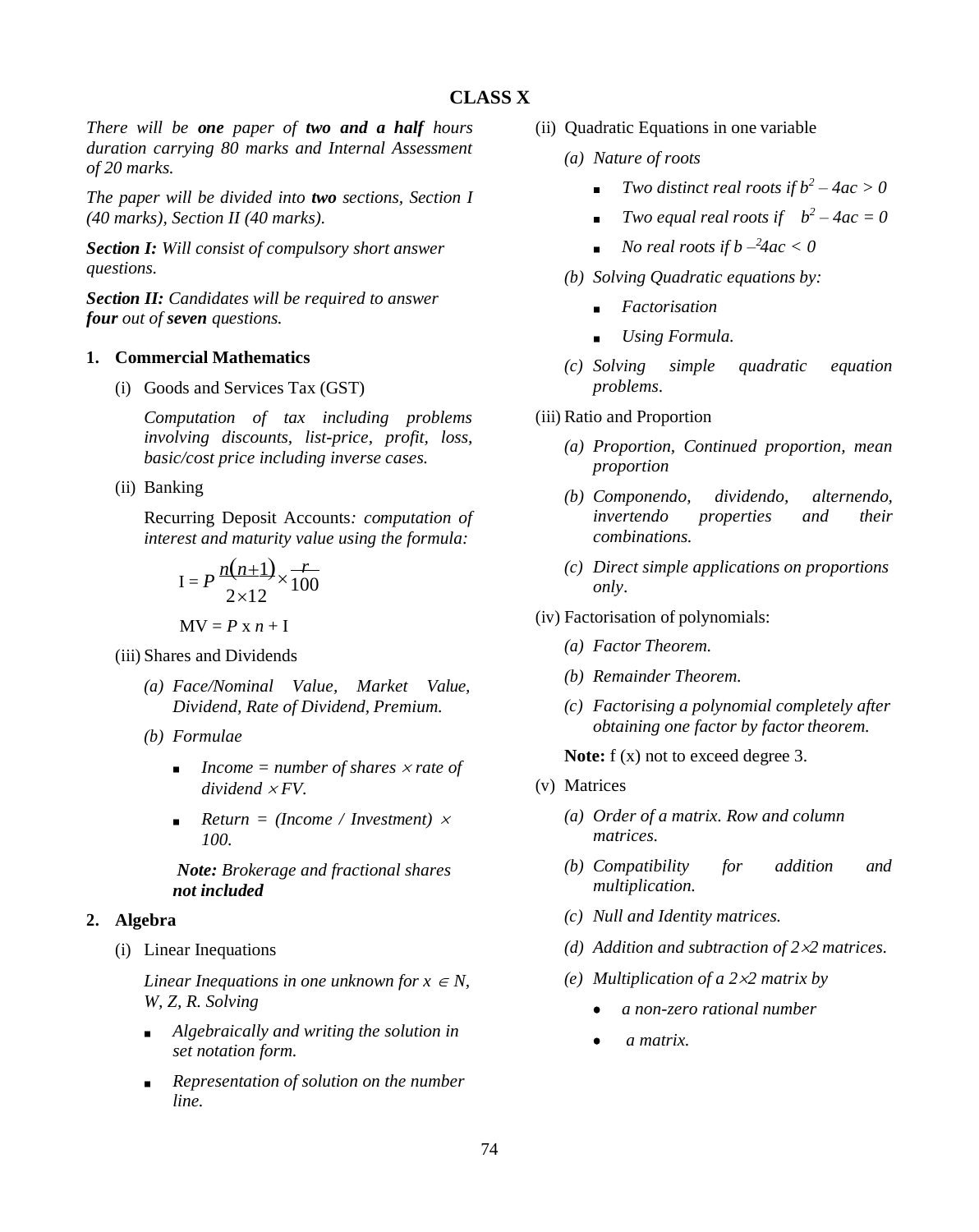*There will be one paper of two and a half hours duration carrying 80 marks and Internal Assessment of 20 marks.*

*The paper will be divided into two sections, Section I (40 marks), Section II (40 marks).*

*Section I: Will consist of compulsory short answer questions.*

*Section II: Candidates will be required to answer four out of seven questions.*

## **1. Commercial Mathematics**

(i) Goods and Services Tax (GST)

*Computation of tax including problems involving discounts, list-price, profit, loss, basic/cost price including inverse cases.*

(ii) Banking

Recurring Deposit Accounts*: computation of interest and maturity value using the formula:*

$$
I = P \frac{n(n+1)}{2 \times 12} \times \frac{P}{100}
$$

 $MV = P x n + I$ 

(iii) Shares and Dividends

- *(a) Face/Nominal Value, Market Value, Dividend, Rate of Dividend, Premium.*
- *(b) Formulae*
	- *Income = number of shares rate of dividend FV.*
	- $\blacksquare$ *Return = (Income / Investment) 100.*

*Note: Brokerage and fractional shares not included*

## **2. Algebra**

(i) Linear Inequations

*Linear Inequations in one unknown for*  $x \in N$ , *W, Z, R. Solving*

- *Algebraically and writing the solution in set notation form.*
- *Representation of solution on the number line.*
- (ii) Quadratic Equations in one variable
	- *(a) Nature of roots*
		- *Two distinct real roots if*  $b^2 4ac > 0$  $\blacksquare$
		- *Two equal real roots if*  $b^2 4ac = 0$
		- *2 No real roots if b – 4ac < 0*  $\mathbf{r}$
	- *(b) Solving Quadratic equations by:*
		- a. *Factorisation*
		- *Using Formula.*  $\blacksquare$
	- *(c) Solving simple quadratic equation problems*.
- (iii) Ratio and Proportion
	- *(a) Proportion, Continued proportion, mean proportion*
	- *(b) Componendo, dividendo, alternendo, invertendo properties and their combinations.*
	- *(c) Direct simple applications on proportions only*.
- (iv) Factorisation of polynomials:
	- *(a) Factor Theorem.*
	- *(b) Remainder Theorem.*
	- *(c) Factorising a polynomial completely after obtaining one factor by factor theorem.*

**Note:**  $f(x)$  not to exceed degree 3.

- (v) Matrices
	- *(a) Order of a matrix. Row and column matrices.*
	- *(b) Compatibility for addition and multiplication.*
	- *(c) Null and Identity matrices.*
	- *(d) Addition and subtraction of 22 matrices.*
	- *(e) Multiplication of a 22 matrix by*
		- *a non-zero rational number*
		- *a matrix.*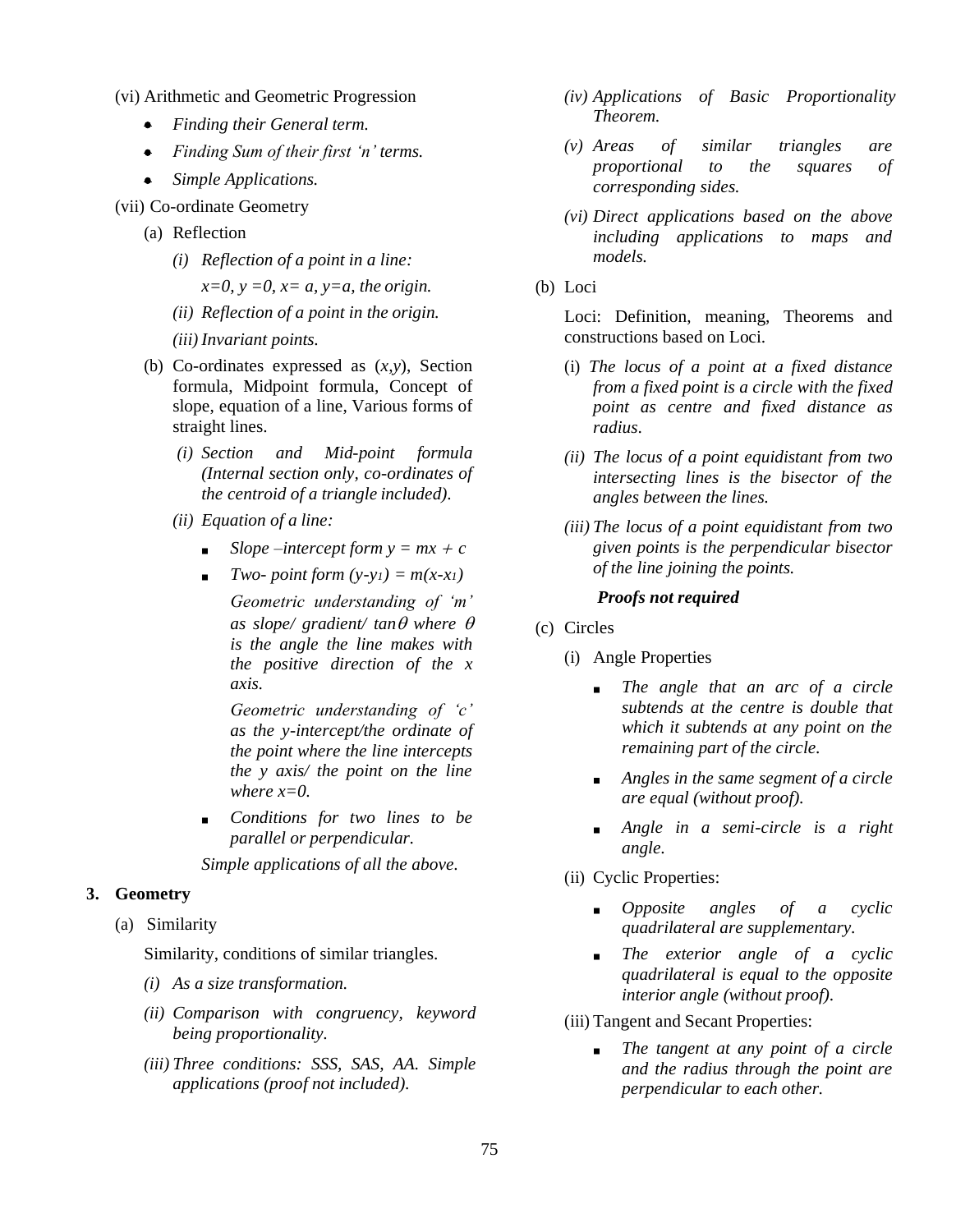- (vi) Arithmetic and Geometric Progression
	- *Finding their General term.*
	- *Finding Sum of their first 'n' terms.*
	- *Simple Applications.*

(vii) Co-ordinate Geometry

- (a) Reflection
	- *(i) Reflection of a point in a line:*

 $x=0$ ,  $y=0$ ,  $x=a$ ,  $y=a$ , the *origin*.

- *(ii) Reflection of a point in the origin.*
- *(iii) Invariant points.*
- (b) Co-ordinates expressed as (*x,y*), Section formula, Midpoint formula, Concept of slope, equation of a line, Various forms of straight lines.
	- *(i) Section and Mid-point formula (Internal section only, co-ordinates of the centroid of a triangle included).*
	- *(ii) Equation of a line:*
		- *Slope –intercept form*  $y = mx + c$
		- $\blacksquare$  *Two- point form*  $(y-y) = m(x-x)$

*Geometric understanding of 'm' as slope/ gradient/ tan* $\theta$  *where*  $\theta$ *is the angle the line makes with the positive direction of the x axis.*

*Geometric understanding of 'c' as the y-intercept/the ordinate of the point where the line intercepts the y axis/ the point on the line where x=0.*

*Conditions for two lines to be parallel or perpendicular.*

*Simple applications of all the above.*

#### **3. Geometry**

(a) Similarity

Similarity, conditions of similar triangles.

- *(i) As a size transformation.*
- *(ii) Comparison with congruency, keyword being proportionality.*
- *(iii) Three conditions: SSS, SAS, AA. Simple applications (proof not included).*
- *(iv) Applications of Basic Proportionality Theorem.*
- *(v) Areas of similar triangles are proportional to the squares of corresponding sides.*
- *(vi) Direct applications based on the above including applications to maps and models.*
- (b) Loci

Loci: Definition, meaning, Theorems and constructions based on Loci.

- (i) *The locus of a point at a fixed distance from a fixed point is a circle with the fixed point as centre and fixed distance as radius*.
- *(ii) The locus of a point equidistant from two intersecting lines is the bisector of the angles between the lines.*
- *(iii) The locus of a point equidistant from two given points is the perpendicular bisector of the line joining the points.*

#### *Proofs not required*

- (c) Circles
	- (i) Angle Properties
		- $\mathbf{u}$  . *The angle that an arc of a circle subtends at the centre is double that which it subtends at any point on the remaining part of the circle.*
		- *Angles in the same segment of a circle are equal (without proof).*
		- *Angle in a semi-circle is a right angle.*

#### (ii) Cyclic Properties:

- $\mathbf{r}$  . *Opposite angles of a cyclic quadrilateral are supplementary.*
- *The exterior angle of a cyclic*   $\blacksquare$ *quadrilateral is equal to the opposite interior angle (without proof).*

(iii) Tangent and Secant Properties:

*The tangent at any point of a circle*   $\mathbf{u}$ *and the radius through the point are perpendicular to each other.*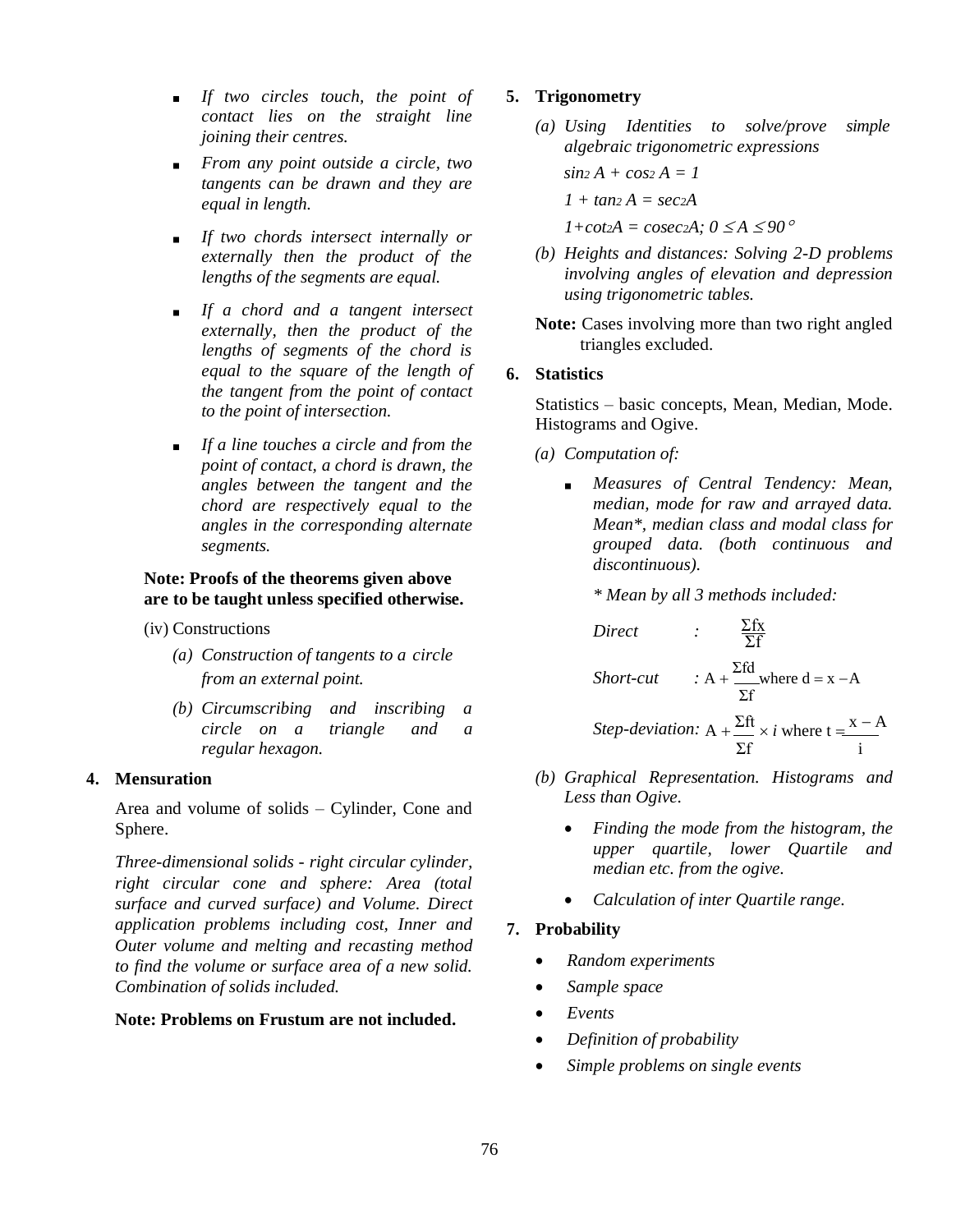- *If two circles touch, the point of contact lies on the straight line joining their centres.*
- *From any point outside a circle, two tangents can be drawn and they are equal in length.*
- *If two chords intersect internally or externally then the product of the lengths of the segments are equal.*
- *If a chord and a tangent intersect externally, then the product of the lengths of segments of the chord is equal to the square of the length of the tangent from the point of contact to the point of intersection.*
- *If a line touches a circle and from the point of contact, a chord is drawn, the angles between the tangent and the chord are respectively equal to the angles in the corresponding alternate segments.*

### **Note: Proofs of the theorems given above are to be taught unless specified otherwise.**

- (iv) Constructions
	- *(a) Construction of tangents to a circle from an external point.*
	- *(b) Circumscribing and inscribing a circle on a triangle and a regular hexagon.*

## **4. Mensuration**

Area and volume of solids – Cylinder, Cone and Sphere.

*Three-dimensional solids - right circular cylinder, right circular cone and sphere: Area (total surface and curved surface) and Volume. Direct application problems including cost, Inner and Outer volume and melting and recasting method to find the volume or surface area of a new solid. Combination of solids included.*

## **Note: Problems on Frustum are not included.**

## **5. Trigonometry**

*(a) Using Identities to solve/prove simple algebraic trigonometric expressions*

 $sin<sub>2</sub>A + cos<sub>2</sub>A = 1$ 

 $1 + \tan^2 A = \sec^2 A$ 

 $1+cot2A = cosec2A$ ;  $0 \leq A \leq 90^\circ$ 

- *(b) Heights and distances: Solving 2-D problems involving angles of elevation and depression using trigonometric tables.*
- **Note:** Cases involving more than two right angled triangles excluded.

## **6. Statistics**

Statistics – basic concepts, Mean, Median, Mode. Histograms and Ogive.

- *(a) Computation of:*
	- *Measures of Central Tendency: Mean, median, mode for raw and arrayed data. Mean\*, median class and modal class for grouped data. (both continuous and discontinuous).*

*\* Mean by all 3 methods included:*

*Direct*  
\n
$$
\frac{\sum fx}{\sum f}
$$
\n*Short-cut*  
\n
$$
\therefore A + \frac{\sum fd}{\sum f}
$$
\n*Step-deviation*:  $A + \frac{\sum ft}{\sum f} \times i$  where  $t = \frac{x - A}{i}$ 

- *(b) Graphical Representation. Histograms and Less than Ogive.*
	- *Finding the mode from the histogram, the upper quartile, lower Quartile and median etc. from the ogive.*
	- *Calculation of inter Quartile range.*

## **7. Probability**

- *Random experiments*
- *Sample space*
- *Events*
- *Definition of probability*
- *Simple problems on single events*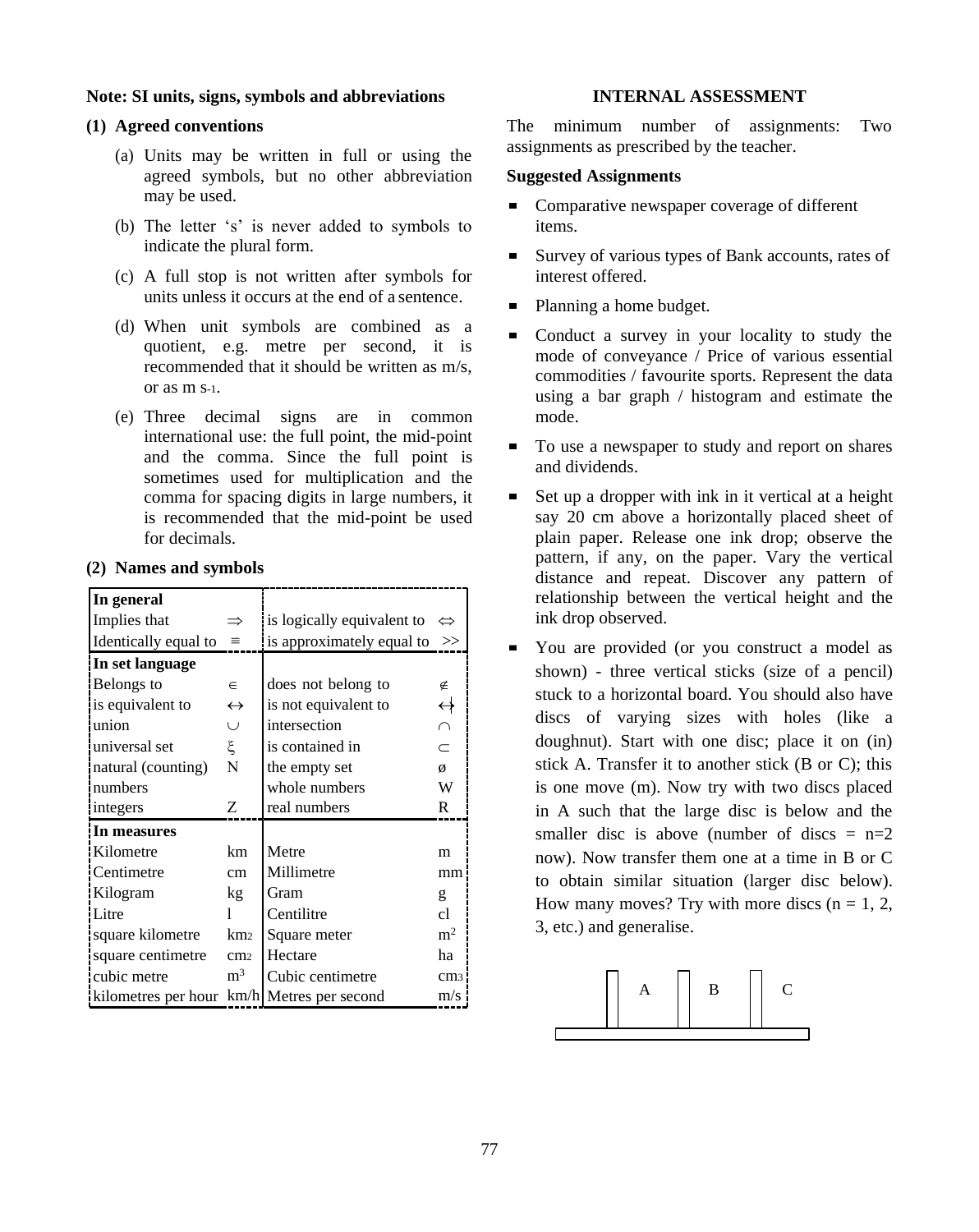#### **Note: SI units, signs, symbols and abbreviations**

#### **(1) Agreed conventions**

- (a) Units may be written in full or using the agreed symbols, but no other abbreviation may be used.
- (b) The letter 's' is never added to symbols to indicate the plural form.
- (c) A full stop is not written after symbols for units unless it occurs at the end of a sentence.
- (d) When unit symbols are combined as a quotient, e.g. metre per second, it is recommended that it should be written as m/s, or as m s-1.
- (e) Three decimal signs are in common international use: the full point, the mid-point and the comma. Since the full point is sometimes used for multiplication and the comma for spacing digits in large numbers, it is recommended that the mid-point be used for decimals.

### **(2) Names and symbols**

| In general               |                   |                            |                   |
|--------------------------|-------------------|----------------------------|-------------------|
| Implies that             | $\Rightarrow$     | is logically equivalent to | $\Leftrightarrow$ |
| Identically equal to     | $\equiv$          | is approximately equal to  | >>                |
| In set language          |                   |                            |                   |
| Belongs to               | $\in$             | does not belong to         | ∉                 |
| is equivalent to         | $\leftrightarrow$ | is not equivalent to       | ↔                 |
| union                    | $\cup$            | intersection               | ∩                 |
| universal set            | ξ                 | is contained in            | $\subset$         |
| natural (counting)       | N                 | the empty set              | Ø                 |
| numbers                  |                   | whole numbers              | W                 |
| integers                 | Ζ                 | real numbers               | R                 |
| In measures              |                   |                            |                   |
| Kilometre                | km                | Metre                      | m                 |
| Centimetre               | cm                | Millimetre                 | mm                |
| Kilogram                 | kg                | Gram                       | g                 |
| Litre                    | 1                 | Centilitre                 | cl                |
| square kilometre         | km <sub>2</sub>   | Square meter               | m <sup>2</sup>    |
| square centimetre        | cm <sub>2</sub>   | Hectare                    | hа                |
| cubic metre              | m <sup>3</sup>    | Cubic centimetre           | cm <sub>3</sub>   |
| kilometres per hour km/h |                   | Metres per second          | m/s               |

## **INTERNAL ASSESSMENT**

The minimum number of assignments: Two assignments as prescribed by the teacher.

#### **Suggested Assignments**

- Comparative newspaper coverage of different  $\blacksquare$ items.
- Survey of various types of Bank accounts, rates of interest offered.
- Planning a home budget.
- $\blacksquare$ Conduct a survey in your locality to study the mode of conveyance / Price of various essential commodities / favourite sports. Represent the data using a bar graph / histogram and estimate the mode.
- To use a newspaper to study and report on shares and dividends.
- Set up a dropper with ink in it vertical at a height say 20 cm above a horizontally placed sheet of plain paper. Release one ink drop; observe the pattern, if any, on the paper. Vary the vertical distance and repeat. Discover any pattern of relationship between the vertical height and the ink drop observed.
- You are provided (or you construct a model as shown) - three vertical sticks (size of a pencil) stuck to a horizontal board. You should also have discs of varying sizes with holes (like a doughnut). Start with one disc; place it on (in) stick A. Transfer it to another stick (B or C); this is one move (m). Now try with two discs placed in A such that the large disc is below and the smaller disc is above (number of discs  $=$  n=2 now). Now transfer them one at a time in B or C to obtain similar situation (larger disc below). How many moves? Try with more discs  $(n = 1, 2, ...)$ 3, etc.) and generalise.

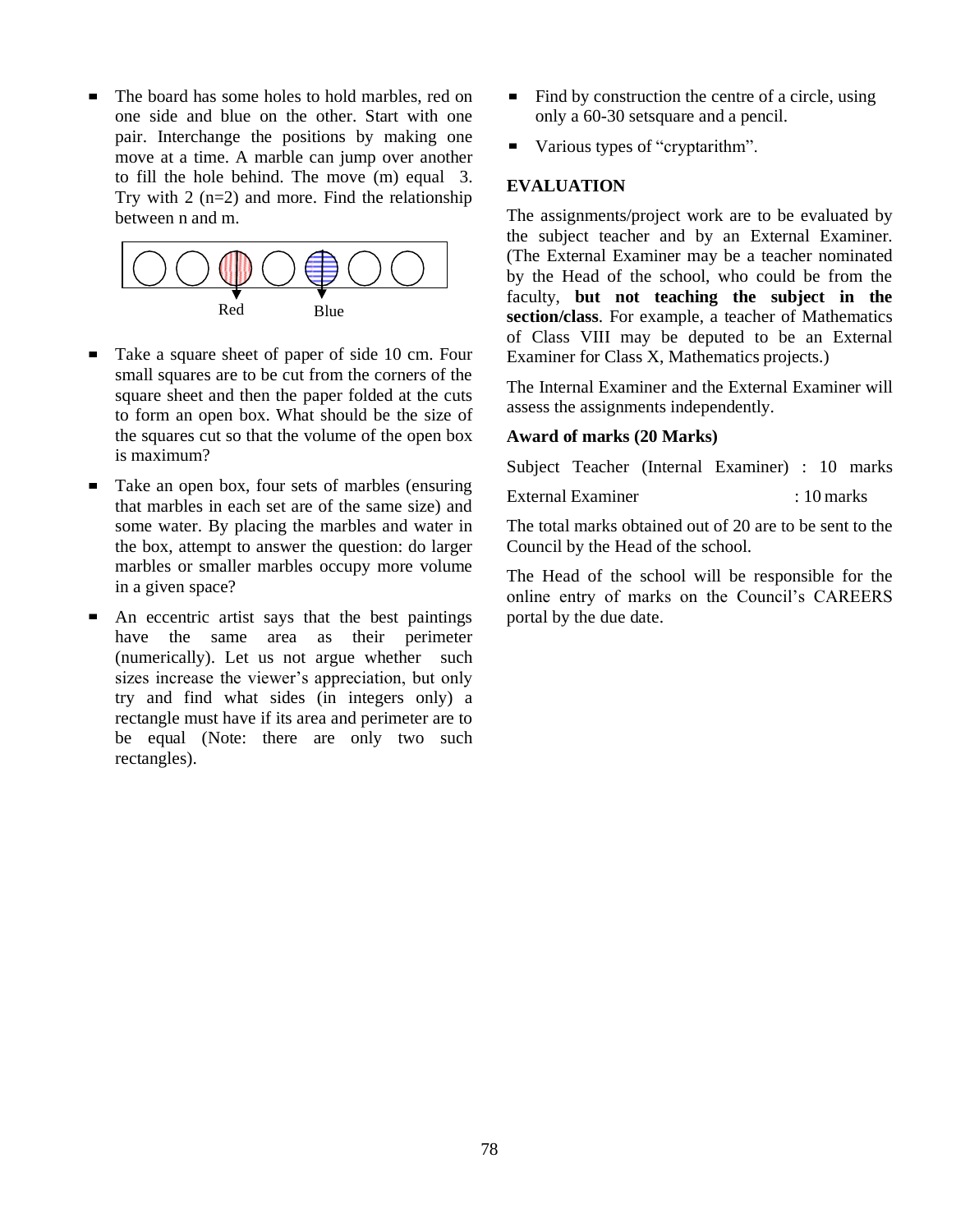The board has some holes to hold marbles, red on one side and blue on the other. Start with one pair. Interchange the positions by making one move at a time. A marble can jump over another to fill the hole behind. The move (m) equal 3. Try with 2  $(n=2)$  and more. Find the relationship between n and m.



- Take a square sheet of paper of side 10 cm. Four small squares are to be cut from the corners of the square sheet and then the paper folded at the cuts to form an open box. What should be the size of the squares cut so that the volume of the open box is maximum?
- Take an open box, four sets of marbles (ensuring that marbles in each set are of the same size) and some water. By placing the marbles and water in the box, attempt to answer the question: do larger marbles or smaller marbles occupy more volume in a given space?
- An eccentric artist says that the best paintings have the same area as their perimeter (numerically). Let us not argue whether such sizes increase the viewer's appreciation, but only try and find what sides (in integers only) a rectangle must have if its area and perimeter are to be equal (Note: there are only two such rectangles).
- $\blacksquare$  Find by construction the centre of a circle, using only a 60-30 setsquare and a pencil.
- Various types of "cryptarithm".

## **EVALUATION**

The assignments/project work are to be evaluated by the subject teacher and by an External Examiner. (The External Examiner may be a teacher nominated by the Head of the school, who could be from the faculty, **but not teaching the subject in the section/class**. For example, a teacher of Mathematics of Class VIII may be deputed to be an External Examiner for Class X, Mathematics projects.)

The Internal Examiner and the External Examiner will assess the assignments independently.

## **Award of marks (20 Marks)**

Subject Teacher (Internal Examiner) : 10 marks

External Examiner : 10 marks

The total marks obtained out of 20 are to be sent to the Council by the Head of the school.

The Head of the school will be responsible for the online entry of marks on the Council's CAREERS portal by the due date.